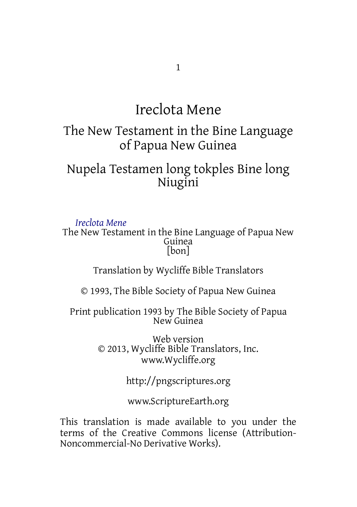## Ireclota Mene

#### The New Testament in the Bine Language of Papua New Guinea

### Nupela Testamen long tokples Bine long Niugini

*Ireclota Mene* The New Testament in the Bine Language of Papua New Guinea [bon]

Translation by Wycliffe Bible Translators

© 1993, The Bible Society of Papua New Guinea

Print publication 1993 by The Bible Society of Papua New Guinea

> Web version © 2013, Wycliffe Bible Translators, Inc. www.Wycliffe.org

> > http://pngscriptures.org

www.ScriptureEarth.org

This translation is made available to you under the terms of the Creative Commons license (Attribution-Noncommercial-No Derivative Works).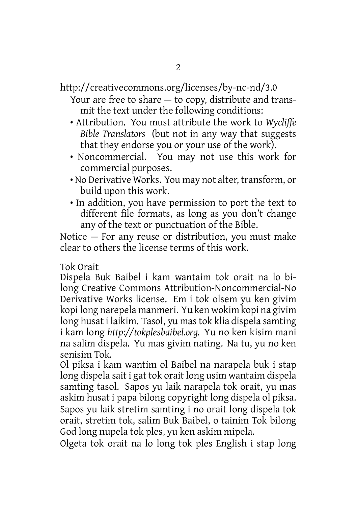http://creativecommons.org/licenses/by-nc-nd/3.0 Your are free to share — to copy, distribute and trans-

mit the text under the following conditions:

- Attribution. You must attribute the work to *Wycliffe Bible Translators* (but not in any way that suggests that they endorse you or your use of the work).
- Noncommercial. You may not use this work for commercial purposes.
- No Derivative Works. You may not alter, transform, or build upon this work.
- In addition, you have permission to port the text to different file formats, as long as you don't change any of the text or punctuation of the Bible.

Notice — For any reuse or distribution, you must make clear to others the license terms of this work.

Tok Orait

Dispela Buk Baibel i kam wantaim tok orait na lo bilong Creative Commons Attribution-Noncommercial-No Derivative Works license. Em i tok olsem yu ken givim kopi long narepela manmeri. Yu ken wokim kopi na givim long husat i laikim. Tasol, yu mas tok klia dispela samting i kam long *http://tokplesbaibel.org.* Yu no ken kisim mani na salim dispela. Yu mas givim nating. Na tu, yu no ken senisim Tok.

Ol piksa i kam wantim ol Baibel na narapela buk i stap long dispela sait i gat tok orait long usim wantaim dispela samting tasol. Sapos yu laik narapela tok orait, yu mas askim husat i papa bilong copyright long dispela ol piksa. Sapos yu laik stretim samting i no orait long dispela tok orait, stretim tok, salim Buk Baibel, o tainim Tok bilong God long nupela tok ples, yu ken askim mipela.

Olgeta tok orait na lo long tok ples English i stap long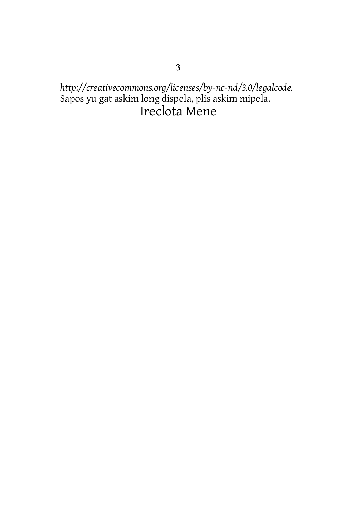# http://creativecommons.org/licenses/by-nc-nd/3.0/legalcode.<br>Sapos yu gat askim long dispela, plis askim mipela.<br>Ireclota Mene